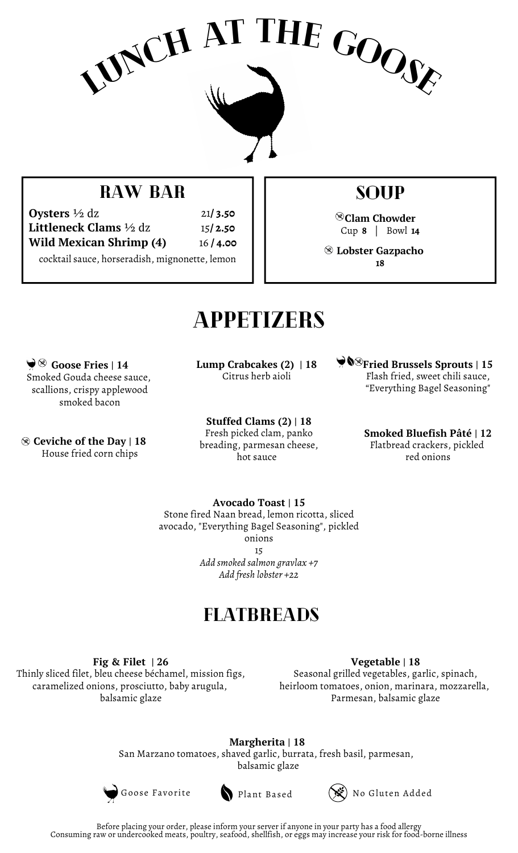

### RAW BAR

**Oysters** ½ dz **Littleneck Clams** ½ dz **Wild Mexican Shrimp (4)** 21**/ 3.50** 15**/ 2.50** 16 **/ 4.00**

cocktail sauce, horseradish, mignonette, lemon

### soup

**Clam Chowder** Cup **8** | Bowl **14**

**Lobster Gazpacho 18**

## **APPETIZERS**

**Goose Fries | 14** Smoked Gouda cheese sauce, scallions, crispy applewood smoked bacon

**Ceviche of the Day | 18** House fried corn chips

**Lump Crabcakes (2) | 18** Citrus herb aioli

**Stuffed Clams (2) | 18** Fresh picked clam, panko breading, parmesan cheese, hot sauce

**Fried Brussels Sprouts | 15** Flash fried, sweet chili sauce, "Everything Bagel Seasoning"

> **Smoked Bluefish Pâté | 12** Flatbread crackers, pickled red onions

**Avocado Toast | 15** Stone fired Naan bread, lemon ricotta, sliced avocado, "Everything Bagel Seasoning", pickled onions 15 *Add smoked salmon gravlax +7 Add fresh lobster +22*

### FLATBREADS

**Fig & Filet | 26**

Thinly sliced filet, bleu cheese béchamel, mission figs, caramelized onions, prosciutto, baby arugula, balsamic glaze

**Vegetable | 18** Seasonal grilled vegetables, garlic, spinach, heirloom tomatoes, onion, marinara, mozzarella, Parmesan, balsamic glaze

**Margherita | 18** San Marzano tomatoes, shaved garlic, burrata, fresh basil, parmesan, balsamic glaze



Goose Favorite Plant Based (SE) No Gluten Added

Before placing your order, please inform your server if anyone in your party has a food allergy Consuming raw or undercooked meats, poultry, seafood, shellfish, or eggs may increase your risk for food-borne illness